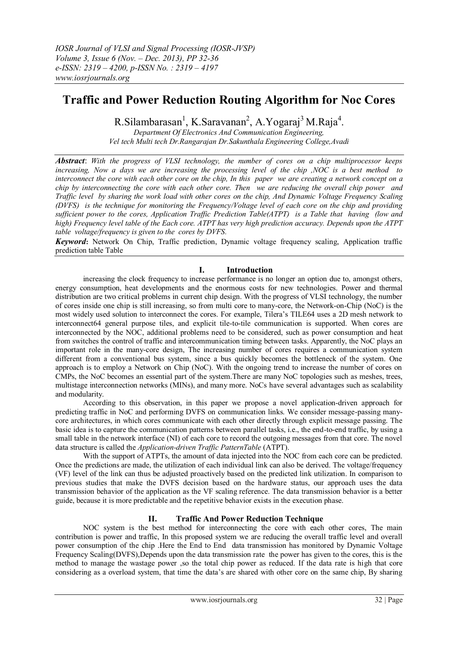# **Traffic and Power Reduction Routing Algorithm for Noc Cores**

R.Silambarasan<sup>1</sup>, K.Saravanan<sup>2</sup>, A.Yogaraj<sup>3</sup> M.Raja<sup>4</sup>.

*Department Of Electronics And Communication Engineering, Vel tech Multi tech Dr.Rangarajan Dr.Sakunthala Engineering College,Avadi*

*Abstract*: *With the progress of VLSI technology, the number of cores on a chip multiprocessor keeps increasing, Now a days we are increasing the processing level of the chip ,NOC is a best method to interconnect the core with each other core on the chip, In this paper we are creating a network concept on a chip by interconnecting the core with each other core. Then we are reducing the overall chip power and Traffic level by sharing the work load with other cores on the chip, And Dynamic Voltage Frequency Scaling (DVFS) is the technique for monitoring the Frequency/Voltage level of each core on the chip and providing sufficient power to the cores, Application Traffic Prediction Table(ATPT) is a Table that having (low and high) Frequency level table of the Each core. ATPT has very high prediction accuracy. Depends upon the ATPT table voltage/frequency is given to the cores by DVFS.*

*Keyword***:** Network On Chip, Traffic prediction, Dynamic voltage frequency scaling, Application traffic prediction table Table

## **I. Introduction**

increasing the clock frequency to increase performance is no longer an option due to, amongst others, energy consumption, heat developments and the enormous costs for new technologies. Power and thermal distribution are two critical problems in current chip design. With the progress of VLSI technology, the number of cores inside one chip is still increasing, so from multi core to many-core, the Network-on-Chip (NoC) is the most widely used solution to interconnect the cores. For example, Tilera's TILE64 uses a 2D mesh network to interconnect64 general purpose tiles, and explicit tile-to-tile communication is supported. When cores are interconnected by the NOC, additional problems need to be considered, such as power consumption and heat from switches the control of traffic and intercommunication timing between tasks. Apparently, the NoC plays an important role in the many-core design, The increasing number of cores requires a communication system different from a conventional bus system, since a bus quickly becomes the bottleneck of the system. One approach is to employ a Network on Chip (NoC). With the ongoing trend to increase the number of cores on CMPs, the NoC becomes an essential part of the system.There are many NoC topologies such as meshes, trees, multistage interconnection networks (MINs), and many more. NoCs have several advantages such as scalability and modularity.

According to this observation, in this paper we propose a novel application-driven approach for predicting traffic in NoC and performing DVFS on communication links. We consider message-passing manycore architectures, in which cores communicate with each other directly through explicit message passing. The basic idea is to capture the communication patterns between parallel tasks, i.e., the end-to-end traffic, by using a small table in the network interface (NI) of each core to record the outgoing messages from that core. The novel data structure is called the *Application-driven Traffic PatternTable* (ATPT).

With the support of ATPTs, the amount of data injected into the NOC from each core can be predicted. Once the predictions are made, the utilization of each individual link can also be derived. The voltage/frequency (VF) level of the link can thus be adjusted proactively based on the predicted link utilization. In comparison to previous studies that make the DVFS decision based on the hardware status, our approach uses the data transmission behavior of the application as the VF scaling reference. The data transmission behavior is a better guide, because it is more predictable and the repetitive behavior exists in the execution phase.

# **II. Traffic And Power Reduction Technique**

NOC system is the best method for interconnecting the core with each other cores, The main contribution is power and traffic, In this proposed system we are reducing the overall traffic level and overall power consumption of the chip .Here the End to End data transmission has monitored by Dynamic Voltage Frequency Scaling(DVFS),Depends upon the data transmission rate the power has given to the cores, this is the method to manage the wastage power ,so the total chip power as reduced. If the data rate is high that core considering as a overload system, that time the data's are shared with other core on the same chip, By sharing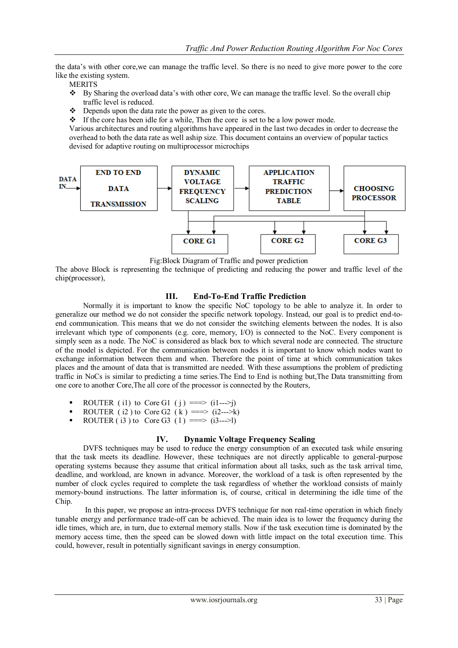the data's with other core,we can manage the traffic level. So there is no need to give more power to the core like the existing system.

**MERITS** 

- By Sharing the overload data's with other core, We can manage the traffic level. So the overall chip traffic level is reduced.
- Depends upon the data rate the power as given to the cores.
- If the core has been idle for a while, Then the core is set to be a low power mode.

Various architectures and routing algorithms have appeared in the last two decades in order to decrease the overhead to both the data rate as well aship size. This document contains an overview of popular tactics devised for adaptive routing on multiprocessor microchips



Fig:Block Diagram of Traffic and power prediction

The above Block is representing the technique of predicting and reducing the power and traffic level of the chip(processor),

## **III. End-To-End Traffic Prediction**

Normally it is important to know the specific NoC topology to be able to analyze it. In order to generalize our method we do not consider the specific network topology. Instead, our goal is to predict end-toend communication. This means that we do not consider the switching elements between the nodes. It is also irrelevant which type of components (e.g. core, memory, I/O) is connected to the NoC. Every component is simply seen as a node. The NoC is considered as black box to which several node are connected. The structure of the model is depicted. For the communication between nodes it is important to know which nodes want to exchange information between them and when. Therefore the point of time at which communication takes places and the amount of data that is transmitted are needed. With these assumptions the problem of predicting traffic in NoCs is similar to predicting a time series.The End to End is nothing but,The Data transmitting from one core to another Core,The all core of the processor is connected by the Routers,

- ROUTER (i1) to Core G1 (j) ==> (i1--->j)
- ROUTER ( $i2$ ) to Core G2 ( $k$ ) ==> ( $i2$ ---> $k$ )
- ROUTER ( i3 ) to Core G3 ( 1 ) = = > (i3--->1)

## **IV. Dynamic Voltage Frequency Scaling**

DVFS techniques may be used to reduce the energy consumption of an executed task while ensuring that the task meets its deadline. However, these techniques are not directly applicable to general-purpose operating systems because they assume that critical information about all tasks, such as the task arrival time, deadline, and workload, are known in advance. Moreover, the workload of a task is often represented by the number of clock cycles required to complete the task regardless of whether the workload consists of mainly memory-bound instructions. The latter information is, of course, critical in determining the idle time of the Chip.

In this paper, we propose an intra-process DVFS technique for non real-time operation in which finely tunable energy and performance trade-off can be achieved. The main idea is to lower the frequency during the idle times, which are, in turn, due to external memory stalls. Now if the task execution time is dominated by the memory access time, then the speed can be slowed down with little impact on the total execution time. This could, however, result in potentially significant savings in energy consumption.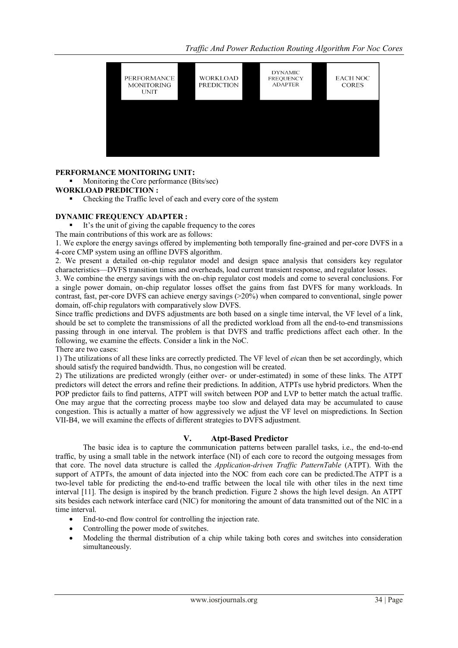*Traffic And Power Reduction Routing Algorithm For Noc Cores*



## **PERFORMANCE MONITORING UNIT:**

• Monitoring the Core performance (Bits/sec)

## **WORKLOAD PREDICTION :**

Checking the Traffic level of each and every core of the system

## **DYNAMIC FREQUENCY ADAPTER :**

It's the unit of giving the capable frequency to the cores

The main contributions of this work are as follows:

1. We explore the energy savings offered by implementing both temporally fine-grained and per-core DVFS in a 4-core CMP system using an offline DVFS algorithm.

2. We present a detailed on-chip regulator model and design space analysis that considers key regulator characteristics—DVFS transition times and overheads, load current transient response, and regulator losses.

3. We combine the energy savings with the on-chip regulator cost models and come to several conclusions. For a single power domain, on-chip regulator losses offset the gains from fast DVFS for many workloads. In contrast, fast, per-core DVFS can achieve energy savings (>20%) when compared to conventional, single power domain, off-chip regulators with comparatively slow DVFS.

Since traffic predictions and DVFS adjustments are both based on a single time interval, the VF level of a link, should be set to complete the transmissions of all the predicted workload from all the end-to-end transmissions passing through in one interval. The problem is that DVFS and traffic predictions affect each other. In the following, we examine the effects. Consider a link in the NoC.

There are two cases:

1) The utilizations of all these links are correctly predicted. The VF level of *ei*can then be set accordingly, which should satisfy the required bandwidth. Thus, no congestion will be created.

2) The utilizations are predicted wrongly (either over- or under-estimated) in some of these links. The ATPT predictors will detect the errors and refine their predictions. In addition, ATPTs use hybrid predictors. When the POP predictor fails to find patterns, ATPT will switch between POP and LVP to better match the actual traffic. One may argue that the correcting process maybe too slow and delayed data may be accumulated to cause congestion. This is actually a matter of how aggressively we adjust the VF level on mispredictions. In Section VII-B4, we will examine the effects of different strategies to DVFS adjustment.

## **V. Atpt-Based Predictor**

The basic idea is to capture the communication patterns between parallel tasks, i.e., the end-to-end traffic, by using a small table in the network interface (NI) of each core to record the outgoing messages from that core. The novel data structure is called the *Application-driven Traffic PatternTable* (ATPT). With the support of ATPTs, the amount of data injected into the NOC from each core can be predicted.The ATPT is a two-level table for predicting the end-to-end traffic between the local tile with other tiles in the next time interval [11]. The design is inspired by the branch prediction. Figure 2 shows the high level design. An ATPT sits besides each network interface card (NIC) for monitoring the amount of data transmitted out of the NIC in a time interval.

- End-to-end flow control for controlling the injection rate.
- Controlling the power mode of switches.
- Modeling the thermal distribution of a chip while taking both cores and switches into consideration simultaneously.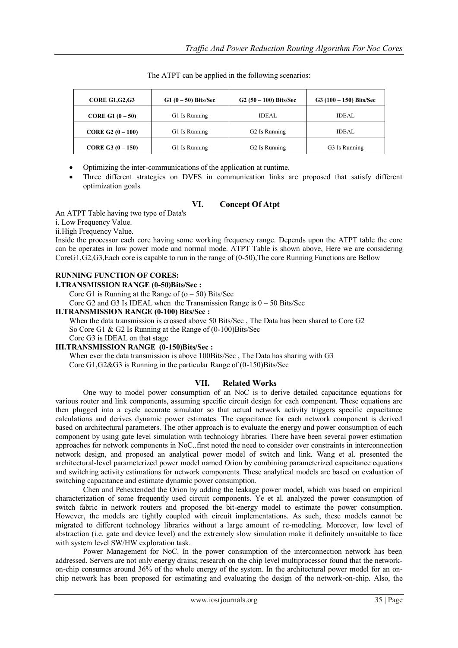| <b>CORE G1, G2, G3</b>    | $G1(0-50)$ Bits/Sec | $G2(50-100)$ Bits/Sec     | $G3(100-150)$ Bits/Sec |
|---------------------------|---------------------|---------------------------|------------------------|
| <b>CORE G1</b> $(0 - 50)$ | G1 Is Running       | <b>IDEAL</b>              | <b>IDEAL</b>           |
| CORE G2 $(0 - 100)$       | G1 Is Running       | G <sub>2</sub> Is Running | <b>IDEAL</b>           |
| CORE G3 $(0-150)$         | G1 Is Running       | G <sub>2</sub> Is Running | G3 Is Running          |

The ATPT can be applied in the following scenarios:

Optimizing the inter-communications of the application at runtime.

 Three different strategies on DVFS in communication links are proposed that satisfy different optimization goals.

## **VI. Concept Of Atpt**

An ATPT Table having two type of Data's

i. Low Frequency Value.

ii.High Frequency Value.

Inside the processor each core having some working frequency range. Depends upon the ATPT table the core can be operates in low power mode and normal mode. ATPT Table is shown above, Here we are considering CoreG1,G2,G3,Each core is capable to run in the range of (0-50),The core Running Functions are Bellow

# **RUNNING FUNCTION OF CORES:**

#### **I.TRANSMISSION RANGE (0-50)Bits/Sec :**

Core G1 is Running at the Range of  $(0 - 50)$  Bits/Sec

Core G2 and G3 Is IDEAL when the Transmission Range is  $0 - 50$  Bits/Sec

## **II.TRANSMISSION RANGE (0-100) Bits/Sec :**

When the data transmission is crossed above 50 Bits/Sec , The Data has been shared to Core G2 So Core G1 & G2 Is Running at the Range of  $(0-100)$ Bits/Sec Core G3 is IDEAL on that stage

## **III.TRANSMISSION RANGE (0-150)Bits/Sec :**

When ever the data transmission is above 100Bits/Sec , The Data has sharing with G3 Core G1,G2&G3 is Running in the particular Range of (0-150)Bits/Sec

## **VII. Related Works**

One way to model power consumption of an NoC is to derive detailed capacitance equations for various router and link components, assuming specific circuit design for each component. These equations are then plugged into a cycle accurate simulator so that actual network activity triggers specific capacitance calculations and derives dynamic power estimates. The capacitance for each network component is derived based on architectural parameters. The other approach is to evaluate the energy and power consumption of each component by using gate level simulation with technology libraries. There have been several power estimation approaches for network components in NoC..first noted the need to consider over constraints in interconnection network design, and proposed an analytical power model of switch and link. Wang et al. presented the architectural-level parameterized power model named Orion by combining parameterized capacitance equations and switching activity estimations for network components. These analytical models are based on evaluation of switching capacitance and estimate dynamic power consumption.

Chen and Pehextended the Orion by adding the leakage power model, which was based on empirical characterization of some frequently used circuit components. Ye et al. analyzed the power consumption of switch fabric in network routers and proposed the bit-energy model to estimate the power consumption. However, the models are tightly coupled with circuit implementations. As such, these models cannot be migrated to different technology libraries without a large amount of re-modeling. Moreover, low level of abstraction (i.e. gate and device level) and the extremely slow simulation make it definitely unsuitable to face with system level SW/HW exploration task.

Power Management for NoC. In the power consumption of the interconnection network has been addressed. Servers are not only energy drains; research on the chip level multiprocessor found that the networkon-chip consumes around 36% of the whole energy of the system. In the architectural power model for an onchip network has been proposed for estimating and evaluating the design of the network-on-chip. Also, the